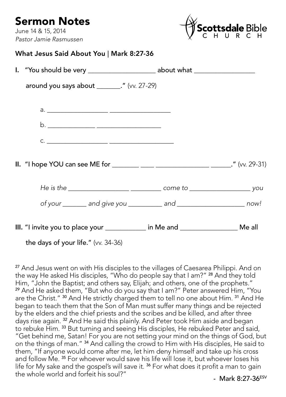## Sermon Notes

June 14 & 15, 2014 *Pastor Jamie Rasmussen*



What Jesus Said About You | Mark 8:27-36

| I. "You should be very _________________________ about what ____________________      |  |
|---------------------------------------------------------------------------------------|--|
| around you says about ________." (vv. 27-29)                                          |  |
|                                                                                       |  |
|                                                                                       |  |
|                                                                                       |  |
| $C.$ $\qquad \qquad$                                                                  |  |
|                                                                                       |  |
|                                                                                       |  |
|                                                                                       |  |
| III. "I invite you to place your _____________ in Me and _____________________ Me all |  |

the days of your life." (vv. 34-36)

<sup>27</sup> And Jesus went on with His disciples to the villages of Caesarea Philippi. And on the way He asked His disciples, "Who do people say that I am?" <sup>28</sup> And they told Him, "John the Baptist; and others say, Elijah; and others, one of the prophets." <sup>29</sup> And He asked them, "But who do you say that I am?" Peter answered Him, "You are the Christ." <sup>30</sup> And He strictly charged them to tell no one about Him. <sup>31</sup> And He began to teach them that the Son of Man must suffer many things and be rejected by the elders and the chief priests and the scribes and be killed, and after three days rise again. 32 And He said this plainly. And Peter took Him aside and began to rebuke Him. 33 But turning and seeing His disciples, He rebuked Peter and said, "Get behind me, Satan! For you are not setting your mind on the things of God, but on the things of man." 34 And calling the crowd to Him with His disciples, He said to them, "If anyone would come after me, let him deny himself and take up his cross and follow Me.<sup>35</sup> For whoever would save his life will lose it, but whoever loses his life for My sake and the gospel's will save it.<sup>36</sup> For what does it profit a man to gain the whole world and forfeit his soul?"